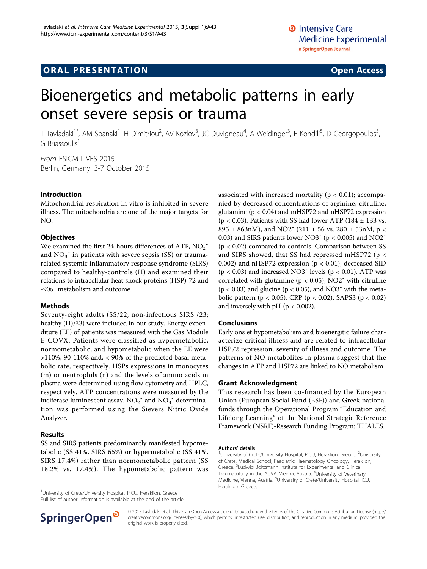# **ORAL PRESENTATION OPEN ACCESS**

# Bioenergetics and metabolic patterns in early onset severe sepsis or trauma

T Tavladaki<sup>1\*</sup>, AM Spanaki<sup>1</sup>, H Dimitriou<sup>2</sup>, AV Kozlov<sup>3</sup>, JC Duvigneau<sup>4</sup>, A Weidinger<sup>3</sup>, E Kondili<sup>5</sup>, D Georgopoulos<sup>5</sup> , G Briassoulis1

From ESICM LIVES 2015 Berlin, Germany. 3-7 October 2015

#### Introduction

Mitochondrial respiration in vitro is inhibited in severe illness. The mitochondria are one of the major targets for NO.

### **Objectives**

We examined the first 24-hours differences of ATP,  $NO<sub>2</sub>$ <sup>-</sup> and  $NO<sub>3</sub>$ <sup>-</sup> in patients with severe sepsis (SS) or traumarelated systemic inflammatory response syndrome (SIRS) compared to healthy-controls (H) and examined their relations to intracellular heat shock proteins (HSP)-72 and -90a, metabolism and outcome.

#### Methods

Seventy-eight adults (SS/22; non-infectious SIRS /23; healthy (H)/33) were included in our study. Energy expenditure (EE) of patients was measured with the Gas Module E-COVX. Patients were classified as hypermetabolic, normometabolic, and hypometabolic when the EE were >110%, 90-110% and, < 90% of the predicted basal metabolic rate, respectively. HSPs expressions in monocytes (m) or neutrophils (n) and the levels of amino acids in plasma were determined using flow cytometry and HPLC, respectively. ATP concentrations were measured by the luciferase luminescent assay.  $NO<sub>2</sub><sup>-</sup>$  and  $NO<sub>3</sub><sup>-</sup>$  determination was performed using the Sievers Nitric Oxide Analyzer.

#### Results

SS and SIRS patients predominantly manifested hypometabolic (SS 41%, SIRS 65%) or hypermetabolic (SS 41%, SIRS 17.4%) rather than normometabolic pattern (SS 18.2% vs. 17.4%). The hypometabolic pattern was

<sup>1</sup>University of Crete/University Hospital, PICU, Heraklion, Greece. **1998** Heraklion, Greece.

Full list of author information is available at the end of the article

associated with increased mortality ( $p < 0.01$ ); accompanied by decreased concentrations of arginine, citruline, glutamine ( $p < 0.04$ ) and mHSP72 and nHSP72 expression ( $p < 0.03$ ). Patients with SS had lower ATP (184  $\pm$  133 vs. 895 ± 863nM), and NO2<sup> $-$ </sup> (211 ± 56 vs. 280 ± 53nM, p < 0.03) and SIRS patients lower NO3<sup> $-$ </sup> (p < 0.005) and NO2<sup> $-$ </sup> (p < 0.02) compared to controls. Comparison between SS and SIRS showed, that SS had repressed mHSP72 (p < 0.002) and nHSP72 expression ( $p < 0.01$ ), decreased SID ( $p < 0.03$ ) and increased NO3<sup>-</sup> levels ( $p < 0.01$ ). ATP was correlated with glutamine ( $p < 0.05$ ), NO2<sup>-</sup> with citruline  $(p < 0.03)$  and glucine  $(p < 0.05)$ , and NO3<sup>-</sup> with the metabolic pattern (p < 0.05), CRP (p < 0.02), SAPS3 (p < 0.02) and inversely with pH ( $p < 0.002$ ).

#### Conclusions

Early ons et hypometabolism and bioenergitic failure characterize critical illness and are related to intracellular HSP72 repression, severity of illness and outcome. The patterns of NO metabolites in plasma suggest that the changes in ATP and HSP72 are linked to NO metabolism.

#### Grant Acknowledgment

This research has been co-financed by the European Union (European Social Fund (ESF)) and Greek national funds through the Operational Program "Education and Lifelong Learning" of the National Strategic Reference Framework (NSRF)-Research Funding Program: THALES.

#### Authors' details <sup>1</sup>

University of Crete/University Hospital, PICU, Heraklion, Greece. <sup>2</sup>University of Crete, Medical School, Paediatric Haematology Oncology, Heraklion, Greece. <sup>3</sup> Ludwig Boltzmann Institute for Experimental and Clinical Traumatology in the AUVA, Vienna, Austria. <sup>4</sup>University of Veterinary Medicine, Vienna, Austria. <sup>5</sup>University of Crete/University Hospital, ICU,



© 2015 Tavladaki et al.; This is an Open Access article distributed under the terms of the Creative Commons Attribution License [\(http://](http://creativecommons.org/licenses/by/4.0) [creativecommons.org/licenses/by/4.0](http://creativecommons.org/licenses/by/4.0)), which permits unrestricted use, distribution, and reproduction in any medium, provided the original work is properly cited.